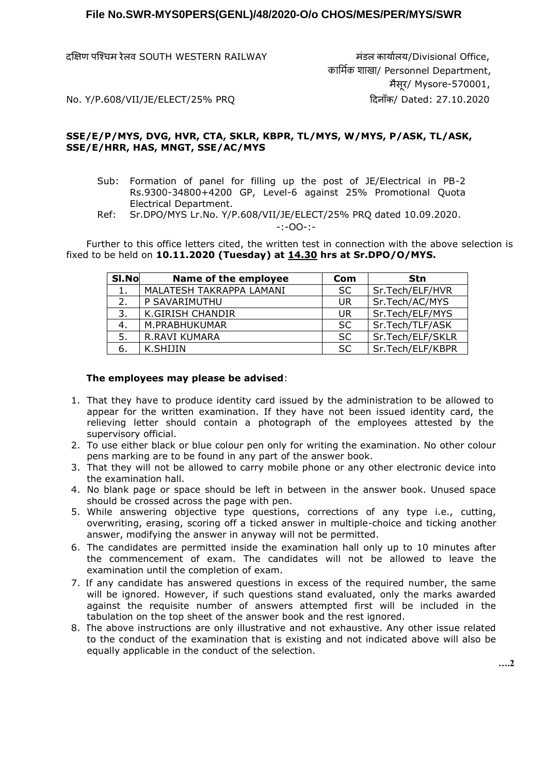दक्षिण पश्चिम रेलव SOUTH WESTERN RAILWAY मंडल कार्ाालर्/Divisional Office,

 कार्मिक शाखा/ Personnel Department, मैसूर/ Mysore-570001,

No. Y/P.608/VII/JE/ELECT/25% PRQ ददनााँक/ Dated: 27.10.2020

## **SSE/E/P/MYS, DVG, HVR, CTA, SKLR, KBPR, TL/MYS, W/MYS, P/ASK, TL/ASK, SSE/E/HRR, HAS, MNGT, SSE/AC/MYS**

- Sub: Formation of panel for filling up the post of JE/Electrical in PB-2 Rs.9300-34800+4200 GP, Level-6 against 25% Promotional Quota Electrical Department.
- Ref: Sr.DPO/MYS Lr.No. Y/P.608/VII/JE/ELECT/25% PRQ dated 10.09.2020. -:-OO-:-

Further to this office letters cited, the written test in connection with the above selection is fixed to be held on **10.11.2020 (Tuesday) at 14.30 hrs at Sr.DPO/O/MYS.**

| SI.No | Name of the employee     | Com       | <b>Stn</b>       |
|-------|--------------------------|-----------|------------------|
|       | MALATESH TAKRAPPA LAMANI | <b>SC</b> | Sr.Tech/ELF/HVR  |
| 2.    | P SAVARIMUTHU            | <b>UR</b> | Sr.Tech/AC/MYS   |
| 3.    | <b>K.GIRISH CHANDIR</b>  | UR        | Sr.Tech/ELF/MYS  |
| 4.    | M.PRABHUKUMAR            | <b>SC</b> | Sr.Tech/TLF/ASK  |
| 5.    | <b>R.RAVI KUMARA</b>     | <b>SC</b> | Sr.Tech/ELF/SKLR |
| 6.    | K.SHIJIN                 | <b>SC</b> | Sr.Tech/ELF/KBPR |

## **The employees may please be advised**:

- 1. That they have to produce identity card issued by the administration to be allowed to appear for the written examination. If they have not been issued identity card, the relieving letter should contain a photograph of the employees attested by the supervisory official.
- 2. To use either black or blue colour pen only for writing the examination. No other colour pens marking are to be found in any part of the answer book.
- 3. That they will not be allowed to carry mobile phone or any other electronic device into the examination hall.
- 4. No blank page or space should be left in between in the answer book. Unused space should be crossed across the page with pen.
- 5. While answering objective type questions, corrections of any type i.e., cutting, overwriting, erasing, scoring off a ticked answer in multiple-choice and ticking another answer, modifying the answer in anyway will not be permitted.
- 6. The candidates are permitted inside the examination hall only up to 10 minutes after the commencement of exam. The candidates will not be allowed to leave the examination until the completion of exam.
- 7. If any candidate has answered questions in excess of the required number, the same will be ignored. However, if such questions stand evaluated, only the marks awarded against the requisite number of answers attempted first will be included in the tabulation on the top sheet of the answer book and the rest ignored.
- 8. The above instructions are only illustrative and not exhaustive. Any other issue related to the conduct of the examination that is existing and not indicated above will also be equally applicable in the conduct of the selection.